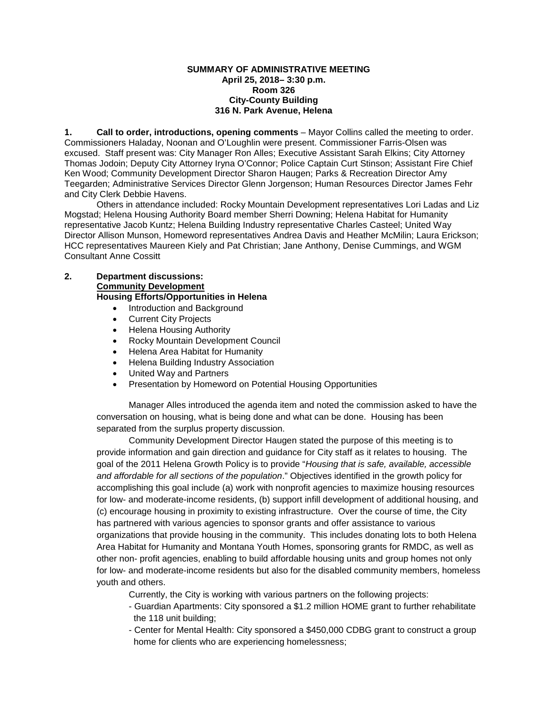## **SUMMARY OF ADMINISTRATIVE MEETING April 25, 2018– 3:30 p.m. Room 326 City-County Building 316 N. Park Avenue, Helena**

**1. Call to order, introductions, opening comments** – Mayor Collins called the meeting to order. Commissioners Haladay, Noonan and O'Loughlin were present. Commissioner Farris-Olsen was excused. Staff present was: City Manager Ron Alles; Executive Assistant Sarah Elkins; City Attorney Thomas Jodoin; Deputy City Attorney Iryna O'Connor; Police Captain Curt Stinson; Assistant Fire Chief Ken Wood; Community Development Director Sharon Haugen; Parks & Recreation Director Amy Teegarden; Administrative Services Director Glenn Jorgenson; Human Resources Director James Fehr and City Clerk Debbie Havens.

Others in attendance included: Rocky Mountain Development representatives Lori Ladas and Liz Mogstad; Helena Housing Authority Board member Sherri Downing; Helena Habitat for Humanity representative Jacob Kuntz; Helena Building Industry representative Charles Casteel; United Way Director Allison Munson, Homeword representatives Andrea Davis and Heather McMilin; Laura Erickson; HCC representatives Maureen Kiely and Pat Christian; Jane Anthony, Denise Cummings, and WGM Consultant Anne Cossitt

## **2. Department discussions: Community Development**

**Housing Efforts/Opportunities in Helena**

- Introduction and Background
- **Current City Projects**
- Helena Housing Authority
- Rocky Mountain Development Council
- Helena Area Habitat for Humanity
- Helena Building Industry Association
- United Way and Partners
- Presentation by Homeword on Potential Housing Opportunities

Manager Alles introduced the agenda item and noted the commission asked to have the conversation on housing, what is being done and what can be done. Housing has been separated from the surplus property discussion.

Community Development Director Haugen stated the purpose of this meeting is to provide information and gain direction and guidance for City staff as it relates to housing. The goal of the 2011 Helena Growth Policy is to provide "*Housing that is safe, available, accessible and affordable for all sections of the population*." Objectives identified in the growth policy for accomplishing this goal include (a) work with nonprofit agencies to maximize housing resources for low- and moderate-income residents, (b) support infill development of additional housing, and (c) encourage housing in proximity to existing infrastructure. Over the course of time, the City has partnered with various agencies to sponsor grants and offer assistance to various organizations that provide housing in the community. This includes donating lots to both Helena Area Habitat for Humanity and Montana Youth Homes, sponsoring grants for RMDC, as well as other non- profit agencies, enabling to build affordable housing units and group homes not only for low- and moderate-income residents but also for the disabled community members, homeless youth and others.

Currently, the City is working with various partners on the following projects:

- Guardian Apartments: City sponsored a \$1.2 million HOME grant to further rehabilitate the 118 unit building;
- Center for Mental Health: City sponsored a \$450,000 CDBG grant to construct a group home for clients who are experiencing homelessness;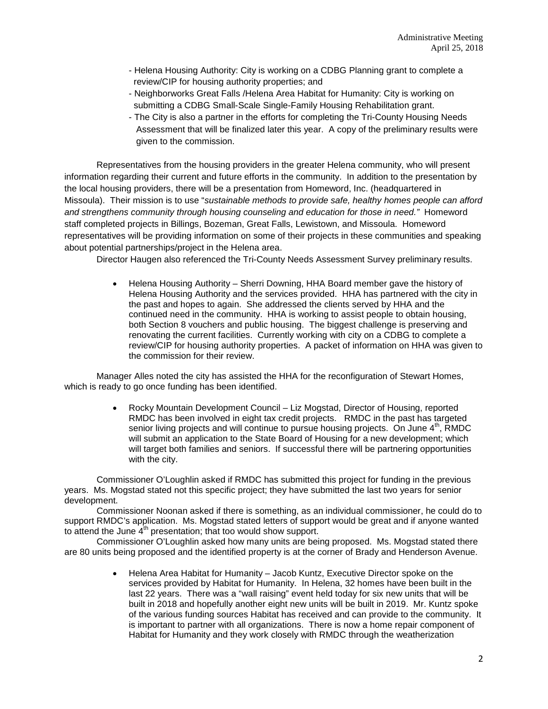- Helena Housing Authority: City is working on a CDBG Planning grant to complete a review/CIP for housing authority properties; and
- Neighborworks Great Falls /Helena Area Habitat for Humanity: City is working on submitting a CDBG Small-Scale Single-Family Housing Rehabilitation grant.
- The City is also a partner in the efforts for completing the Tri-County Housing Needs Assessment that will be finalized later this year. A copy of the preliminary results were given to the commission.

Representatives from the housing providers in the greater Helena community, who will present information regarding their current and future efforts in the community. In addition to the presentation by the local housing providers, there will be a presentation from Homeword, Inc. (headquartered in Missoula). Their mission is to use "*sustainable methods to provide safe, healthy homes people can afford and strengthens community through housing counseling and education for those in need."* Homeword staff completed projects in Billings, Bozeman, Great Falls, Lewistown, and Missoula. Homeword representatives will be providing information on some of their projects in these communities and speaking about potential partnerships/project in the Helena area.

Director Haugen also referenced the Tri-County Needs Assessment Survey preliminary results.

• Helena Housing Authority – Sherri Downing, HHA Board member gave the history of Helena Housing Authority and the services provided. HHA has partnered with the city in the past and hopes to again. She addressed the clients served by HHA and the continued need in the community. HHA is working to assist people to obtain housing, both Section 8 vouchers and public housing. The biggest challenge is preserving and renovating the current facilities. Currently working with city on a CDBG to complete a review/CIP for housing authority properties. A packet of information on HHA was given to the commission for their review.

Manager Alles noted the city has assisted the HHA for the reconfiguration of Stewart Homes, which is ready to go once funding has been identified.

> • Rocky Mountain Development Council – Liz Mogstad, Director of Housing, reported RMDC has been involved in eight tax credit projects. RMDC in the past has targeted senior living projects and will continue to pursue housing projects. On June  $4<sup>th</sup>$ , RMDC will submit an application to the State Board of Housing for a new development; which will target both families and seniors. If successful there will be partnering opportunities with the city.

Commissioner O'Loughlin asked if RMDC has submitted this project for funding in the previous years. Ms. Mogstad stated not this specific project; they have submitted the last two years for senior development.

Commissioner Noonan asked if there is something, as an individual commissioner, he could do to support RMDC's application. Ms. Mogstad stated letters of support would be great and if anyone wanted to attend the June  $4<sup>th</sup>$  presentation; that too would show support.

Commissioner O'Loughlin asked how many units are being proposed. Ms. Mogstad stated there are 80 units being proposed and the identified property is at the corner of Brady and Henderson Avenue.

> • Helena Area Habitat for Humanity – Jacob Kuntz, Executive Director spoke on the services provided by Habitat for Humanity. In Helena, 32 homes have been built in the last 22 years. There was a "wall raising" event held today for six new units that will be built in 2018 and hopefully another eight new units will be built in 2019. Mr. Kuntz spoke of the various funding sources Habitat has received and can provide to the community. It is important to partner with all organizations. There is now a home repair component of Habitat for Humanity and they work closely with RMDC through the weatherization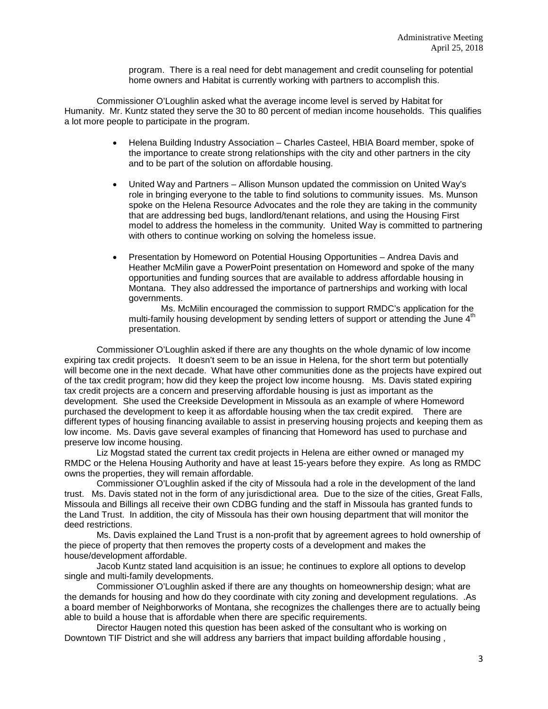program. There is a real need for debt management and credit counseling for potential home owners and Habitat is currently working with partners to accomplish this.

Commissioner O'Loughlin asked what the average income level is served by Habitat for Humanity. Mr. Kuntz stated they serve the 30 to 80 percent of median income households. This qualifies a lot more people to participate in the program.

- Helena Building Industry Association Charles Casteel, HBIA Board member, spoke of the importance to create strong relationships with the city and other partners in the city and to be part of the solution on affordable housing.
- United Way and Partners Allison Munson updated the commission on United Way's role in bringing everyone to the table to find solutions to community issues. Ms. Munson spoke on the Helena Resource Advocates and the role they are taking in the community that are addressing bed bugs, landlord/tenant relations, and using the Housing First model to address the homeless in the community. United Way is committed to partnering with others to continue working on solving the homeless issue.
- Presentation by Homeword on Potential Housing Opportunities Andrea Davis and Heather McMilin gave a PowerPoint presentation on Homeword and spoke of the many opportunities and funding sources that are available to address affordable housing in Montana. They also addressed the importance of partnerships and working with local governments.

Ms. McMilin encouraged the commission to support RMDC's application for the multi-family housing development by sending letters of support or attending the June 4<sup>th</sup> presentation.

Commissioner O'Loughlin asked if there are any thoughts on the whole dynamic of low income expiring tax credit projects. It doesn't seem to be an issue in Helena, for the short term but potentially will become one in the next decade. What have other communities done as the projects have expired out of the tax credit program; how did they keep the project low income housng. Ms. Davis stated expiring tax credit projects are a concern and preserving affordable housing is just as important as the development. She used the Creekside Development in Missoula as an example of where Homeword purchased the development to keep it as affordable housing when the tax credit expired. There are different types of housing financing available to assist in preserving housing projects and keeping them as low income. Ms. Davis gave several examples of financing that Homeword has used to purchase and preserve low income housing.

Liz Mogstad stated the current tax credit projects in Helena are either owned or managed my RMDC or the Helena Housing Authority and have at least 15-years before they expire. As long as RMDC owns the properties, they will remain affordable.

Commissioner O'Loughlin asked if the city of Missoula had a role in the development of the land trust. Ms. Davis stated not in the form of any jurisdictional area. Due to the size of the cities, Great Falls, Missoula and Billings all receive their own CDBG funding and the staff in Missoula has granted funds to the Land Trust. In addition, the city of Missoula has their own housing department that will monitor the deed restrictions.

Ms. Davis explained the Land Trust is a non-profit that by agreement agrees to hold ownership of the piece of property that then removes the property costs of a development and makes the house/development affordable.

Jacob Kuntz stated land acquisition is an issue; he continues to explore all options to develop single and multi-family developments.

Commissioner O'Loughlin asked if there are any thoughts on homeownership design; what are the demands for housing and how do they coordinate with city zoning and development regulations. .As a board member of Neighborworks of Montana, she recognizes the challenges there are to actually being able to build a house that is affordable when there are specific requirements.

Director Haugen noted this question has been asked of the consultant who is working on Downtown TIF District and she will address any barriers that impact building affordable housing ,